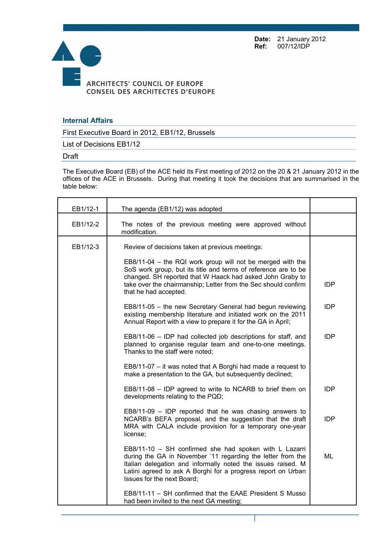**Date:** 21 January 2012 **Ref:** 007/12/IDP



## **Internal Affairs**

First Executive Board in 2012, EB1/12, Brussels

List of Decisions EB1/12

## Draft

The Executive Board (EB) of the ACE held its First meeting of 2012 on the 20 & 21 January 2012 in the offices of the ACE in Brussels. During that meeting it took the decisions that are summarised in the table below:

| EB1/12-1 | The agenda (EB1/12) was adopted                                                                                                                                                                                                                                                      |            |
|----------|--------------------------------------------------------------------------------------------------------------------------------------------------------------------------------------------------------------------------------------------------------------------------------------|------------|
| EB1/12-2 | The notes of the previous meeting were approved without<br>modification.                                                                                                                                                                                                             |            |
| EB1/12-3 | Review of decisions taken at previous meetings:                                                                                                                                                                                                                                      |            |
|          | EB8/11-04 – the RQI work group will not be merged with the<br>SoS work group, but its title and terms of reference are to be<br>changed. SH reported that W Haack had asked John Graby to<br>take over the chairmanship; Letter from the Sec should confirm<br>that he had accepted. | <b>IDP</b> |
|          | EB8/11-05 - the new Secretary General had begun reviewing<br>existing membership literature and initiated work on the 2011<br>Annual Report with a view to prepare it for the GA in April;                                                                                           | <b>IDP</b> |
|          | EB8/11-06 - IDP had collected job descriptions for staff, and<br>planned to organise regular team and one-to-one meetings.<br>Thanks to the staff were noted;                                                                                                                        | <b>IDP</b> |
|          | EB8/11-07 - it was noted that A Borghi had made a request to<br>make a presentation to the GA, but subsequently declined;                                                                                                                                                            |            |
|          | EB8/11-08 - IDP agreed to write to NCARB to brief them on<br>developments relating to the PQD;                                                                                                                                                                                       | <b>IDP</b> |
|          | $EB8/11-09$ – IDP reported that he was chasing answers to<br>NCARB's BEFA proposal, and the suggestion that the draft<br>MRA with CALA include provision for a temporary one-year<br>license;                                                                                        | <b>IDP</b> |
|          | EB8/11-10 - SH confirmed she had spoken with L Lazarri<br>during the GA in November '11 regarding the letter from the<br>Italian delegation and informally noted the issues raised. M<br>Latini agreed to ask A Borghi for a progress report on Urban<br>Issues for the next Board;  | ML         |
|          | EB8/11-11 - SH confirmed that the EAAE President S Musso<br>had been invited to the next GA meeting;                                                                                                                                                                                 |            |

Page 1 sur 5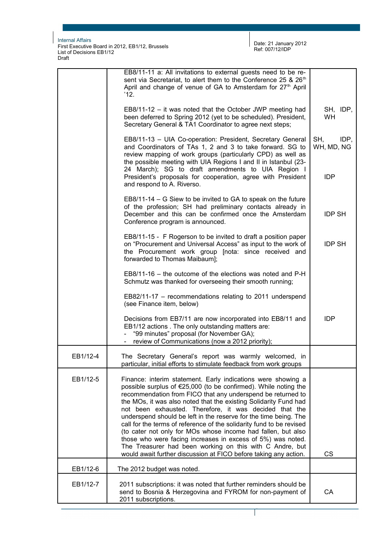First Executive Board in 2012, EB1/12, Brussels List of Decisions EB1/12 Draft

Page 2 sur 5

|          | EB8/11-11 a: All invitations to external guests need to be re-<br>sent via Secretariat, to alert them to the Conference 25 & 26 <sup>th</sup><br>April and change of venue of GA to Amsterdam for 27 <sup>th</sup> April<br>'12.                                                                                                                                                                                                                                                                                                                                                                                                                                                                                                        |                           |
|----------|-----------------------------------------------------------------------------------------------------------------------------------------------------------------------------------------------------------------------------------------------------------------------------------------------------------------------------------------------------------------------------------------------------------------------------------------------------------------------------------------------------------------------------------------------------------------------------------------------------------------------------------------------------------------------------------------------------------------------------------------|---------------------------|
|          | $EB8/11-12 - it$ was noted that the October JWP meeting had<br>been deferred to Spring 2012 (yet to be scheduled). President,<br>Secretary General & TA1 Coordinator to agree next steps;                                                                                                                                                                                                                                                                                                                                                                                                                                                                                                                                               | SH, IDP,<br>WH            |
|          | EB8/11-13 - UIA Co-operation: President, Secretary General<br>and Coordinators of TAs 1, 2 and 3 to take forward. SG to<br>review mapping of work groups (particularly CPD) as well as<br>the possible meeting with UIA Regions I and II in Istanbul (23-<br>24 March); SG to draft amendments to UIA Region I                                                                                                                                                                                                                                                                                                                                                                                                                          | SH,<br>IDP,<br>WH, MD, NG |
|          | President's proposals for cooperation, agree with President<br>and respond to A. Riverso.                                                                                                                                                                                                                                                                                                                                                                                                                                                                                                                                                                                                                                               | <b>IDP</b>                |
|          | EB8/11-14 – G Siew to be invited to GA to speak on the future<br>of the profession; SH had preliminary contacts already in<br>December and this can be confirmed once the Amsterdam<br>Conference program is announced.                                                                                                                                                                                                                                                                                                                                                                                                                                                                                                                 | <b>IDP SH</b>             |
|          | EB8/11-15 - F Rogerson to be invited to draft a position paper<br>on "Procurement and Universal Access" as input to the work of<br>the Procurement work group [nota: since received and<br>forwarded to Thomas Maibaum];                                                                                                                                                                                                                                                                                                                                                                                                                                                                                                                | <b>IDP SH</b>             |
|          | $EB8/11-16$ – the outcome of the elections was noted and $P-H$<br>Schmutz was thanked for overseeing their smooth running;                                                                                                                                                                                                                                                                                                                                                                                                                                                                                                                                                                                                              |                           |
|          | EB82/11-17 - recommendations relating to 2011 underspend<br>(see Finance item, below)                                                                                                                                                                                                                                                                                                                                                                                                                                                                                                                                                                                                                                                   |                           |
|          | Decisions from EB7/11 are now incorporated into EB8/11 and<br>EB1/12 actions. The only outstanding matters are:<br>"99 minutes" proposal (for November GA);<br>- review of Communications (now a 2012 priority);                                                                                                                                                                                                                                                                                                                                                                                                                                                                                                                        | <b>IDP</b>                |
| EB1/12-4 | The Secretary General's report was warmly welcomed, in<br>particular, initial efforts to stimulate feedback from work groups                                                                                                                                                                                                                                                                                                                                                                                                                                                                                                                                                                                                            |                           |
| EB1/12-5 | Finance: interim statement. Early indications were showing a<br>possible surplus of €25,000 (to be confirmed). While noting the<br>recommendation from FICO that any underspend be returned to<br>the MOs, it was also noted that the existing Solidarity Fund had<br>not been exhausted. Therefore, it was decided that the<br>underspend should be left in the reserve for the time being. The<br>call for the terms of reference of the solidarity fund to be revised<br>(to cater not only for MOs whose income had fallen, but also<br>those who were facing increases in excess of 5%) was noted.<br>The Treasurer had been working on this with C Andre, but<br>would await further discussion at FICO before taking any action. | <b>CS</b>                 |
| EB1/12-6 | The 2012 budget was noted.                                                                                                                                                                                                                                                                                                                                                                                                                                                                                                                                                                                                                                                                                                              |                           |
| EB1/12-7 | 2011 subscriptions: it was noted that further reminders should be<br>send to Bosnia & Herzegovina and FYROM for non-payment of<br>2011 subscriptions.                                                                                                                                                                                                                                                                                                                                                                                                                                                                                                                                                                                   | CA                        |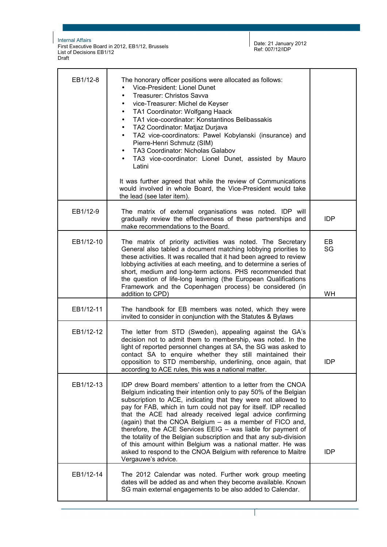First Executive Board in 2012, EB1/12, Brussels List of Decisions EB1/12 Draft

Date: 21 January 2012 Ref: 007/12/IDP

Page 3 sur 5

| EB1/12-8  | The honorary officer positions were allocated as follows:<br>Vice-President: Lionel Dunet<br><b>Treasurer: Christos Savva</b><br>vice-Treasurer: Michel de Keyser<br>TA1 Coordinator: Wolfgang Haack<br>$\bullet$<br>TA1 vice-coordinator: Konstantinos Belibassakis<br>TA2 Coordinator: Matjaz Durjava<br>TA2 vice-coordinators: Pawel Kobylanski (insurance) and<br>$\bullet$<br>Pierre-Henri Schmutz (SIM)<br>TA3 Coordinator: Nicholas Galabov<br>$\bullet$<br>TA3 vice-coordinator: Lionel Dunet, assisted by Mauro<br>Latini<br>It was further agreed that while the review of Communications<br>would involved in whole Board, the Vice-President would take<br>the lead (see later item). |                |
|-----------|---------------------------------------------------------------------------------------------------------------------------------------------------------------------------------------------------------------------------------------------------------------------------------------------------------------------------------------------------------------------------------------------------------------------------------------------------------------------------------------------------------------------------------------------------------------------------------------------------------------------------------------------------------------------------------------------------|----------------|
| EB1/12-9  | The matrix of external organisations was noted. IDP will<br>gradually review the effectiveness of these partnerships and<br>make recommendations to the Board.                                                                                                                                                                                                                                                                                                                                                                                                                                                                                                                                    | <b>IDP</b>     |
| EB1/12-10 | The matrix of priority activities was noted. The Secretary<br>General also tabled a document matching lobbying priorities to<br>these activities. It was recalled that it had been agreed to review<br>lobbying activities at each meeting, and to determine a series of<br>short, medium and long-term actions. PHS recommended that<br>the question of life-long learning (the European Qualifications<br>Framework and the Copenhagen process) be considered (in<br>addition to CPD)                                                                                                                                                                                                           | EB<br>SG<br>WH |
| EB1/12-11 | The handbook for EB members was noted, which they were<br>invited to consider in conjunction with the Statutes & Bylaws                                                                                                                                                                                                                                                                                                                                                                                                                                                                                                                                                                           |                |
| EB1/12-12 | The letter from STD (Sweden), appealing against the GA's<br>decision not to admit them to membership, was noted. In the<br>light of reported personnel changes at SA, the SG was asked to<br>contact SA to enquire whether they still maintained their<br>opposition to STD membership, underlining, once again, that<br>according to ACE rules, this was a national matter.                                                                                                                                                                                                                                                                                                                      | <b>IDP</b>     |
| EB1/12-13 | IDP drew Board members' attention to a letter from the CNOA<br>Belgium indicating their intention only to pay 50% of the Belgian<br>subscription to ACE, indicating that they were not allowed to<br>pay for FAB, which in turn could not pay for itself. IDP recalled<br>that the ACE had already received legal advice confirming<br>(again) that the CNOA Belgium – as a member of FICO and,<br>therefore, the ACE Services EEIG - was liable for payment of<br>the totality of the Belgian subscription and that any sub-division<br>of this amount within Belgium was a national matter. He was<br>asked to respond to the CNOA Belgium with reference to Maitre<br>Vergauwe's advice.       | <b>IDP</b>     |
| EB1/12-14 | The 2012 Calendar was noted. Further work group meeting<br>dates will be added as and when they become available. Known<br>SG main external engagements to be also added to Calendar.                                                                                                                                                                                                                                                                                                                                                                                                                                                                                                             |                |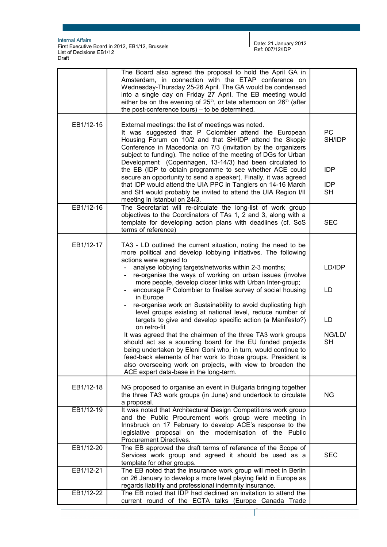First Executive Board in 2012, EB1/12, Brussels List of Decisions EB1/12 Draft

Date: 21 January 2012 Ref: 007/12/IDP

Page 4 sur 5

|           | The Board also agreed the proposal to hold the April GA in<br>Amsterdam, in connection with the ETAP conference on<br>Wednesday-Thursday 25-26 April. The GA would be condensed<br>into a single day on Friday 27 April. The EB meeting would<br>either be on the evening of $25th$ , or late afternoon on $26th$ (after<br>the post-conference tours) – to be determined.          |                         |
|-----------|-------------------------------------------------------------------------------------------------------------------------------------------------------------------------------------------------------------------------------------------------------------------------------------------------------------------------------------------------------------------------------------|-------------------------|
| EB1/12-15 | External meetings: the list of meetings was noted.<br>It was suggested that P Colombier attend the European<br>Housing Forum on 10/2 and that SH/IDP attend the Skopje<br>Conference in Macedonia on 7/3 (invitation by the organizers<br>subject to funding). The notice of the meeting of DGs for Urban                                                                           | <b>PC</b><br>SH/IDP     |
|           | Development (Copenhagen, 13-14/3) had been circulated to<br>the EB (IDP to obtain programme to see whether ACE could<br>secure an opportunity to send a speaker). Finally, it was agreed                                                                                                                                                                                            | <b>IDP</b>              |
|           | that IDP would attend the UIA PPC in Tangiers on 14-16 March<br>and SH would probably be invited to attend the UIA Region I/II<br>meeting in Istanbul on 24/3.                                                                                                                                                                                                                      | <b>IDP</b><br><b>SH</b> |
| EB1/12-16 | The Secretariat will re-circulate the long-list of work group<br>objectives to the Coordinators of TAs 1, 2 and 3, along with a<br>template for developing action plans with deadlines (cf. SoS<br>terms of reference)                                                                                                                                                              | <b>SEC</b>              |
| EB1/12-17 | TA3 - LD outlined the current situation, noting the need to be<br>more political and develop lobbying initiatives. The following<br>actions were agreed to<br>analyse lobbying targets/networks within 2-3 months;<br>re-organise the ways of working on urban issues (involve<br>more people, develop closer links with Urban Inter-group;                                         | LD/IDP                  |
|           | encourage P Colombier to finalise survey of social housing<br>in Europe<br>re-organise work on Sustainability to avoid duplicating high<br>level groups existing at national level, reduce number of<br>targets to give and develop specific action (a Manifesto?)                                                                                                                  | LD<br>LD                |
|           | on retro-fit<br>It was agreed that the chairmen of the three TA3 work groups<br>should act as a sounding board for the EU funded projects<br>being undertaken by Eleni Goni who, in turn, would continue to<br>feed-back elements of her work to those groups. President is<br>also overseeing work on projects, with view to broaden the<br>ACE expert data-base in the long-term. | NG/LD/<br><b>SH</b>     |
| EB1/12-18 | NG proposed to organise an event in Bulgaria bringing together<br>the three TA3 work groups (in June) and undertook to circulate<br>a proposal.                                                                                                                                                                                                                                     | <b>NG</b>               |
| EB1/12-19 | It was noted that Architectural Design Competitions work group<br>and the Public Procurement work group were meeting in<br>Innsbruck on 17 February to develop ACE's response to the<br>legislative proposal on the modernisation of the Public<br>Procurement Directives.                                                                                                          |                         |
| EB1/12-20 | The EB approved the draft terms of reference of the Scope of<br>Services work group and agreed it should be used as a<br>template for other groups.                                                                                                                                                                                                                                 | <b>SEC</b>              |
| EB1/12-21 | The EB noted that the insurance work group will meet in Berlin<br>on 26 January to develop a more level playing field in Europe as<br>regards liability and professional indemnity insurance.                                                                                                                                                                                       |                         |
| EB1/12-22 | The EB noted that IDP had declined an invitation to attend the<br>current round of the ECTA talks (Europe Canada Trade                                                                                                                                                                                                                                                              |                         |